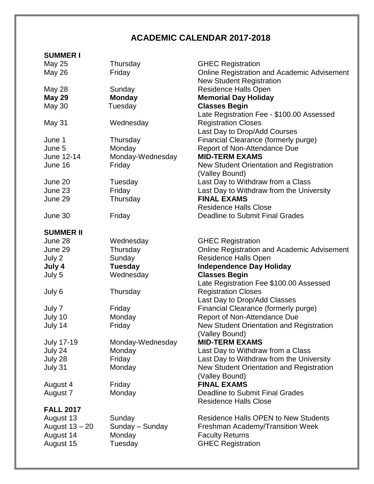## **ACADEMIC CALENDAR 2017-2018**

## **SUMMER I**

| <b>May 25</b>     | Thursday         | <b>GHEC Registration</b>                    |
|-------------------|------------------|---------------------------------------------|
| <b>May 26</b>     | Friday           | Online Registration and Academic Advisement |
|                   |                  | <b>New Student Registration</b>             |
| <b>May 28</b>     | Sunday           | <b>Residence Halls Open</b>                 |
| <b>May 29</b>     | <b>Monday</b>    | <b>Memorial Day Holiday</b>                 |
| <b>May 30</b>     | Tuesday          | <b>Classes Begin</b>                        |
|                   |                  | Late Registration Fee - \$100.00 Assessed   |
| May 31            | Wednesday        | <b>Registration Closes</b>                  |
|                   |                  | Last Day to Drop/Add Courses                |
| June 1            | Thursday         | Financial Clearance (formerly purge)        |
| June 5            | Monday           | Report of Non-Attendance Due                |
| June 12-14        | Monday-Wednesday | <b>MID-TERM EXAMS</b>                       |
| June 16           | Friday           | New Student Orientation and Registration    |
|                   |                  | (Valley Bound)                              |
| June 20           | Tuesday          | Last Day to Withdraw from a Class           |
| June 23           | Friday           | Last Day to Withdraw from the University    |
| June 29           | Thursday         | <b>FINAL EXAMS</b>                          |
|                   |                  | <b>Residence Halls Close</b>                |
| June 30           | Friday           | Deadline to Submit Final Grades             |
|                   |                  |                                             |
| <b>SUMMER II</b>  |                  |                                             |
| June 28           | Wednesday        | <b>GHEC Registration</b>                    |
| June 29           | Thursday         | Online Registration and Academic Advisement |
| July 2            | Sunday           | <b>Residence Halls Open</b>                 |
| July 4            | <b>Tuesday</b>   | <b>Independence Day Holiday</b>             |
| July 5            | Wednesday        | <b>Classes Begin</b>                        |
|                   |                  | Late Registration Fee \$100.00 Assessed     |
| July 6            | Thursday         | <b>Registration Closes</b>                  |
|                   |                  | Last Day to Drop/Add Classes                |
| July 7            | Friday           | Financial Clearance (formerly purge)        |
| July 10           | Monday           | Report of Non-Attendance Due                |
| July 14           | Friday           | New Student Orientation and Registration    |
|                   |                  | (Valley Bound)                              |
| <b>July 17-19</b> | Monday-Wednesday | <b>MID-TERM EXAMS</b>                       |
| July 24           | Monday           | Last Day to Withdraw from a Class           |
| July 28           | Friday           | Last Day to Withdraw from the University    |
| July 31           | Monday           | New Student Orientation and Registration    |
|                   |                  | (Valley Bound)                              |
| August 4          | Friday           | <b>FINAL EXAMS</b>                          |
| August 7          | Monday           | <b>Deadline to Submit Final Grades</b>      |
|                   |                  | <b>Residence Halls Close</b>                |
| <b>FALL 2017</b>  |                  |                                             |
| August 13         | Sunday           | <b>Residence Halls OPEN to New Students</b> |
| August 13 - 20    | Sunday - Sunday  | Freshman Academy/Transition Week            |
| August 14         | Monday           | <b>Faculty Returns</b>                      |
| August 15         | Tuesday          | <b>GHEC Registration</b>                    |
|                   |                  |                                             |
|                   |                  |                                             |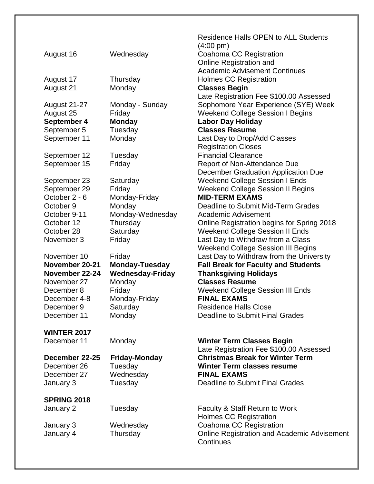|                            |                         | <b>Holmes CC Registration</b>                                                     |
|----------------------------|-------------------------|-----------------------------------------------------------------------------------|
| January 2                  | Tuesday                 | Faculty & Staff Return to Work                                                    |
| <b>SPRING 2018</b>         |                         |                                                                                   |
| January 3                  |                         |                                                                                   |
|                            | Wednesday<br>Tuesday    | <b>Deadline to Submit Final Grades</b>                                            |
| December 26<br>December 27 | Tuesday                 | <b>FINAL EXAMS</b>                                                                |
|                            | <b>Friday-Monday</b>    | <b>Winter Term classes resume</b>                                                 |
| December 22-25             |                         | Late Registration Fee \$100.00 Assessed<br><b>Christmas Break for Winter Term</b> |
| December 11                | Monday                  | <b>Winter Term Classes Begin</b>                                                  |
| <b>WINTER 2017</b>         |                         |                                                                                   |
|                            |                         |                                                                                   |
| December 11                | Monday                  | Deadline to Submit Final Grades                                                   |
| December 9                 | Saturday                | <b>Residence Halls Close</b>                                                      |
| December 4-8               | Monday-Friday           | <b>FINAL EXAMS</b>                                                                |
| December 8                 | Friday                  | <b>Weekend College Session III Ends</b>                                           |
| November 27                | Monday                  | <b>Classes Resume</b>                                                             |
|                            | <b>Wednesday-Friday</b> | <b>Thanksgiving Holidays</b>                                                      |
| November 22-24             | <b>Monday-Tuesday</b>   | <b>Fall Break for Faculty and Students</b>                                        |
| November 20-21             |                         |                                                                                   |
| November 10                | Friday                  | Last Day to Withdraw from the University                                          |
|                            |                         | <b>Weekend College Session III Begins</b>                                         |
| November 3                 | Friday                  | Last Day to Withdraw from a Class                                                 |
| October 28                 | Saturday                | <b>Weekend College Session II Ends</b>                                            |
| October 12                 | Thursday                | Online Registration begins for Spring 2018                                        |
| October 9-11               | Monday-Wednesday        | Academic Advisement                                                               |
| October 9                  | Monday                  | Deadline to Submit Mid-Term Grades                                                |
| October 2 - 6              | Monday-Friday           | <b>MID-TERM EXAMS</b>                                                             |
| September 29               | Friday                  | <b>Weekend College Session II Begins</b>                                          |
| September 23               | Saturday                | <b>Weekend College Session I Ends</b>                                             |
|                            |                         | December Graduation Application Due                                               |
| September 15               | Friday                  | Report of Non-Attendance Due                                                      |
| September 12               | Tuesday                 | <b>Financial Clearance</b>                                                        |
|                            |                         | <b>Registration Closes</b>                                                        |
| September 11               | Monday                  | Last Day to Drop/Add Classes                                                      |
| September 5                | Tuesday                 | <b>Classes Resume</b>                                                             |
| September 4                | <b>Monday</b>           | <b>Labor Day Holiday</b>                                                          |
| August 25                  | Friday                  | <b>Weekend College Session I Begins</b>                                           |
| <b>August 21-27</b>        | Monday - Sunday         | Sophomore Year Experience (SYE) Week                                              |
|                            |                         | Late Registration Fee \$100.00 Assessed                                           |
| August 21                  | Monday                  | <b>Classes Begin</b>                                                              |
| August 17                  | Thursday                | <b>Holmes CC Registration</b>                                                     |
|                            |                         | <b>Academic Advisement Continues</b>                                              |
|                            |                         | Online Registration and                                                           |
| August 16                  | Wednesday               | Coahoma CC Registration                                                           |
|                            |                         | $(4:00 \text{ pm})$                                                               |
|                            |                         | <b>Residence Halls OPEN to ALL Students</b>                                       |
|                            |                         |                                                                                   |